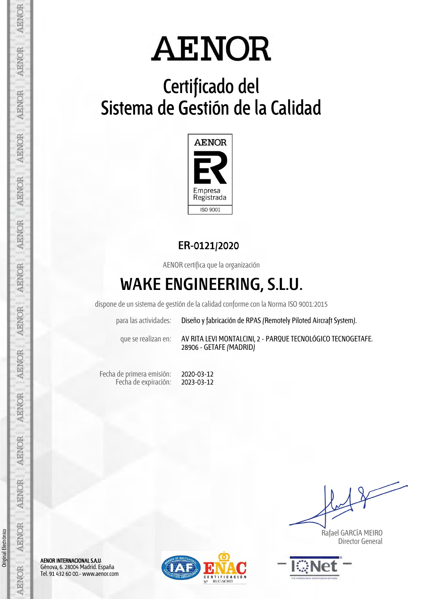# **Certificado del Sistema de Gestión de la Calidad**



### **ER-0121/2020**

AENOR certifica que la organización

## **WAKE ENGINEERING, S.L.U.**

dispone de un sistema de gestión de la calidad conforme con la Norma ISO 9001:2015

| para las actividades: | Diseño y fabricación de RPAS (Remotely Piloted Aircraft System). |
|-----------------------|------------------------------------------------------------------|
|-----------------------|------------------------------------------------------------------|

que se realizan en: AV RITA LEVI MONTALCINI, 2 - PARQUE TECNOLÓGICO TECNOGETAFE. 28906 - GETAFE (MADRID)

Fecha de primera emisión: Fecha de expiración:

2020-03-12 2023-03-12

 Rafael GARCÍA MEIRO Director General





Original Electrónico

Original Electrónico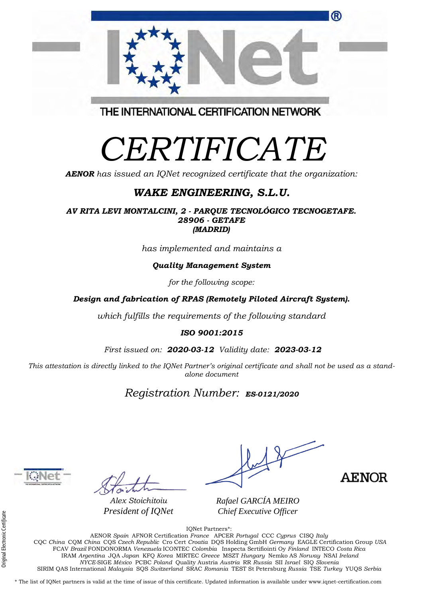| President of <b>IQNet</b> | Chief Executive Officer |  |
|---------------------------|-------------------------|--|
|                           | IONet Partners*:        |  |

AENOR *Spain* AFNOR Certification *France* APCER *Portugal* CCC *Cyprus* CISQ *Italy* CQC *China* CQM *China* CQS *Czech Republic* Cro Cert *Croatia* DQS Holding GmbH *Germany* EAGLE Certification Group *USA* FCAV *Brazil* FONDONORMA *Venezuela* ICONTEC *Colombia* Inspecta Sertifiointi Oy *Finland* INTECO *Costa Rica* IRAM *Argentina* JQA *Japan* KFQ *Korea* MIRTEC *Greece* MSZT *Hungary* Nemko AS *Norway* NSAI *Ireland NYCE-*SIGE *México* PCBC *Poland* Quality Austria *Austria* RR *Russia* SII *Israel* SIQ *Slovenia*  SIRIM QAS International *Malaysia* SQS *Switzerland* SRAC *Romania* TEST St Petersburg *Russia* TSE *Turkey* YUQS *Serbia*

\* The list of IQNet partners is valid at the time of issue of this certificate. Updated information is available under www.iqnet-certification.com

# *CERTIFICATE*

*AENOR has issued an IQNet recognized certificate that the organization:* 

### *WAKE ENGINEERING, S.L.U.*

*AV RITA LEVI MONTALCINI, 2 - PARQUE TECNOLÓGICO TECNOGETAFE. 28906 - GETAFE (MADRID)*

*has implemented and maintains a* 

#### *Quality Management System*

*for the following scope:* 

*Design and fabrication of RPAS (Remotely Piloted Aircraft System).* 

*which fulfills the requirements of the following standard* 

#### *ISO 9001:2015*

*First issued on: 2020-03-12 Validity date: 2023-03-12*

This attestation is directly linked to the IQNet Partner's original certificate and shall not be used as a stand*alone document* 

### *Registration Number: ES-0121/2020* **a**



*Alex Stoichitoiu President of IQNet*

*Rafael GARCÍA MEIRO*



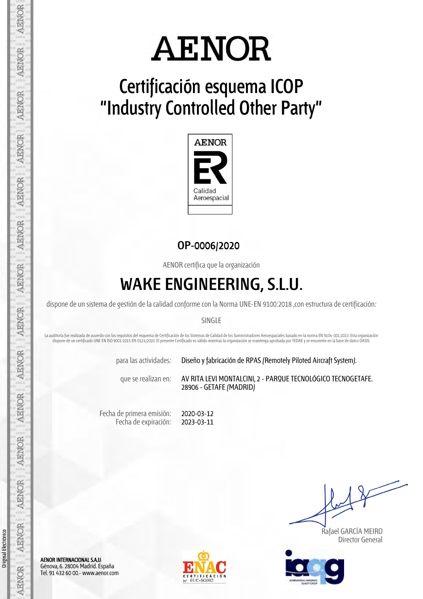

# **Certificación esquema ICOP "Industry Controlled Other Party"**



#### **OP-0006/2020**

AENOR certifica que la organización

### **WAKE ENGINEERING, S.L.U.**

dispone de un sistema de gestión de la calidad conforme con la Norma UNE-EN 9100:2018 ,con estructura de certificación:

#### SINGLE

La auditoría fue realizada de acuerdo con los requisitos del esquema de Certificación de los Sistemas de Calidad de los Suministradores Aeroespaciales basado en la norma EN 9104-001:2013. Esta organización dispone de un certificado UNE EN ISO 9001:2015 ER-0121/2020. El presente Certificado es válido mientras la organización se mantenga aprobada por TEDAE y se encuentre en la base de datos OASIS.

para las actividades: Diseño y fabricación de RPAS (Remotely Piloted Aircraft System).

que se realizan en: AV RITA LEVI MONTALCINI, 2 - PARQUE TECNOLÓGICO TECNOGETAFE. 28906 - GETAFE (MADRID)

Fecha de primera emisión: Fecha de expiración: 2020-03-12 2023-03-11

 Rafael GARCÍA MEIRO Director General



AENOR INTERNACIONAL S.A.U. Génova, 6. 28004 Madrid. España Tel. 91 432 60 00.- www.aenor.com



Original Electrónico